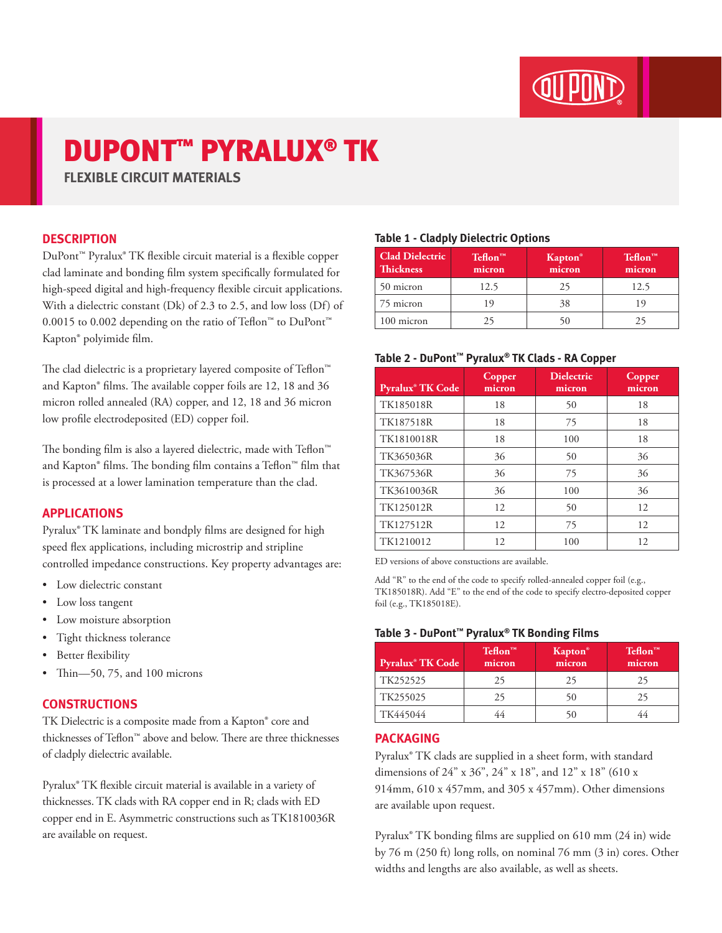

# DUPONT™ PYRALUX® TK

**FLEXIBLE CIRCUIT MATERIALS**

#### **DESCRIPTION**

DuPont™ Pyralux® TK flexible circuit material is a flexible copper clad laminate and bonding film system specifically formulated for high-speed digital and high-frequency flexible circuit applications. With a dielectric constant (Dk) of 2.3 to 2.5, and low loss (Df) of 0.0015 to 0.002 depending on the ratio of Teflon™ to DuPont™ Kapton® polyimide film.

The clad dielectric is a proprietary layered composite of Teflon™ and Kapton® films. The available copper foils are 12, 18 and 36 micron rolled annealed (RA) copper, and 12, 18 and 36 micron low profile electrodeposited (ED) copper foil.

The bonding film is also a layered dielectric, made with Teflon™ and Kapton® films. The bonding film contains a Teflon™ film that is processed at a lower lamination temperature than the clad.

#### **APPLICATIONS**

Pyralux® TK laminate and bondply films are designed for high speed flex applications, including microstrip and stripline controlled impedance constructions. Key property advantages are:

- Low dielectric constant
- Low loss tangent
- Low moisture absorption
- Tight thickness tolerance
- Better flexibility
- Thin—50, 75, and 100 microns

#### **CONSTRUCTIONS**

TK Dielectric is a composite made from a Kapton® core and thicknesses of Teflon™ above and below. There are three thicknesses of cladply dielectric available.

Pyralux® TK flexible circuit material is available in a variety of thicknesses. TK clads with RA copper end in R; clads with ED copper end in E. Asymmetric constructions such as TK1810036R are available on request.

#### **Table 1 - Cladply Dielectric Options**

| <b>Clad Dielectric</b><br><b>Thickness</b> | Teflon <sup>™</sup><br>micron | Kapton®<br>micron | Teflon <sup>TM</sup><br>micron |
|--------------------------------------------|-------------------------------|-------------------|--------------------------------|
| 50 micron                                  | 12.5                          | 25                | 12.5                           |
| 75 micron                                  | 19                            | 38                | 19                             |
| 100 micron                                 | 25                            | 50                |                                |

#### **Table 2 - DuPont™ Pyralux® TK Clads - RA Copper**

| Pyralux <sup>®</sup> TK Code | Copper<br>micron | <b>Dielectric</b><br>micron | Copper<br>micron |
|------------------------------|------------------|-----------------------------|------------------|
| <b>TK185018R</b>             | 18               | 50                          | 18               |
| <b>TK187518R</b>             | 18               | 75                          | 18               |
| TK1810018R                   | 18               | 100                         | 18               |
| TK365036R                    | 36               | 50                          | 36               |
| TK367536R                    | 36               | 75                          | 36               |
| TK3610036R                   | 36               | 100                         | 36               |
| TK125012R                    | 12               | 50                          | 12               |
| TK127512R                    | 12               | 75                          | 12               |
| TK1210012                    | 12.              | 100                         | 12               |

ED versions of above constuctions are available.

Add "R" to the end of the code to specify rolled-annealed copper foil (e.g., TK185018R). Add "E" to the end of the code to specify electro-deposited copper foil (e.g., TK185018E).

#### **Table 3 - DuPont™ Pyralux® TK Bonding Films**

| Pyralux <sup>®</sup> TK Code | ¦Teflon™<br>micron | Kapton®<br>micron | Teflon <sup>TM</sup><br>micron |
|------------------------------|--------------------|-------------------|--------------------------------|
| TK252525                     | 25                 | 25                | 25                             |
| TK255025                     | 25                 | 50                | 25                             |
| TK445044                     |                    | 50                |                                |

#### **PACKAGING**

Pyralux® TK clads are supplied in a sheet form, with standard dimensions of 24" x 36", 24" x 18", and 12" x 18" (610 x 914mm, 610 x 457mm, and 305 x 457mm). Other dimensions are available upon request.

Pyralux® TK bonding films are supplied on 610 mm (24 in) wide by 76 m (250 ft) long rolls, on nominal 76 mm (3 in) cores. Other widths and lengths are also available, as well as sheets.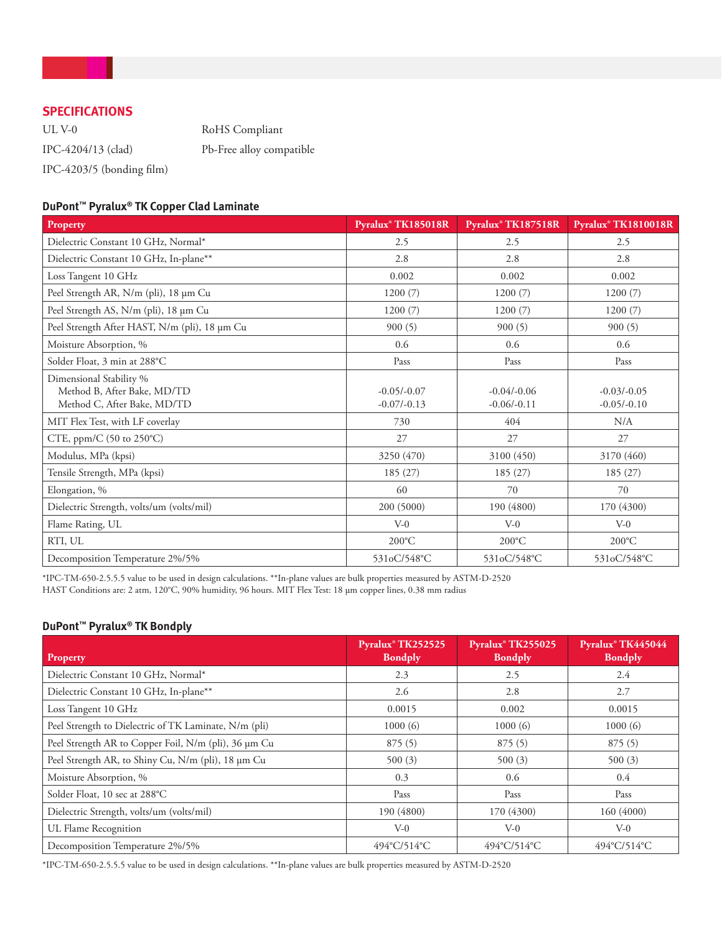### **SPECIFICATIONS**

| <b>UL V-0</b>               | RoHS Compliant           |
|-----------------------------|--------------------------|
| IPC-4204/13 (clad)          | Pb-Free alloy compatible |
| $IPC-4203/5$ (bonding film) |                          |

#### **DuPont™ Pyralux® TK Copper Clad Laminate**

| Property                                                                              | Pyralux® TK185018R             | Pyralux® TK187518R             | Pyralux® TK1810018R            |
|---------------------------------------------------------------------------------------|--------------------------------|--------------------------------|--------------------------------|
| Dielectric Constant 10 GHz, Normal*                                                   | 2.5                            | 2.5                            | 2.5                            |
| Dielectric Constant 10 GHz, In-plane**                                                | 2.8                            | 2.8                            | 2.8                            |
| Loss Tangent 10 GHz                                                                   | 0.002                          | 0.002                          | 0.002                          |
| Peel Strength AR, N/m (pli), 18 µm Cu                                                 | 1200(7)                        | 1200(7)                        | 1200(7)                        |
| Peel Strength AS, N/m (pli), 18 µm Cu                                                 | 1200(7)                        | 1200(7)                        | 1200(7)                        |
| Peel Strength After HAST, N/m (pli), 18 µm Cu                                         | 900(5)                         | 900(5)                         | 900(5)                         |
| Moisture Absorption, %                                                                | 0.6                            | 0.6                            | 0.6                            |
| Solder Float, 3 min at 288°C                                                          | Pass                           | Pass                           | Pass                           |
| Dimensional Stability %<br>Method B, After Bake, MD/TD<br>Method C, After Bake, MD/TD | $-0.05/-0.07$<br>$-0.07/-0.13$ | $-0.04/-0.06$<br>$-0.06/-0.11$ | $-0.03/-0.05$<br>$-0.05/-0.10$ |
| MIT Flex Test, with LF coverlay                                                       | 730                            | 404                            | N/A                            |
| CTE, ppm/C (50 to 250°C)                                                              | 27                             | 27                             | 27                             |
| Modulus, MPa (kpsi)                                                                   | 3250 (470)                     | 3100 (450)                     | 3170 (460)                     |
| Tensile Strength, MPa (kpsi)                                                          | 185 (27)                       | 185 (27)                       | 185 (27)                       |
| Elongation, %                                                                         | 60                             | 70                             | 70                             |
| Dielectric Strength, volts/um (volts/mil)                                             | 200 (5000)                     | 190 (4800)                     | 170 (4300)                     |
| Flame Rating, UL                                                                      | $V-0$                          | $V-0$                          | $V-0$                          |
| RTI, UL                                                                               | $200^{\circ}$ C                | $200^{\circ}$ C                | $200^{\circ}$ C                |
| Decomposition Temperature 2%/5%                                                       | 531oC/548°C                    | 531oC/548°C                    | 531oC/548°C                    |

\*IPC-TM-650-2.5.5.5 value to be used in design calculations. \*\*In-plane values are bulk properties measured by ASTM-D-2520 HAST Conditions are: 2 atm, 120°C, 90% humidity, 96 hours. MIT Flex Test: 18 µm copper lines, 0.38 mm radius

#### **DuPont™ Pyralux® TK Bondply**

| Property                                              | Pyralux® TK252525<br><b>Bondply</b> | Pyralux® TK255025<br><b>Bondply</b> | Pyralux® TK445044<br><b>Bondply</b> |
|-------------------------------------------------------|-------------------------------------|-------------------------------------|-------------------------------------|
| Dielectric Constant 10 GHz, Normal*                   | 2.3                                 | 2.5                                 | 2.4                                 |
| Dielectric Constant 10 GHz, In-plane**                | 2.6                                 | 2.8                                 | 2.7                                 |
| Loss Tangent 10 GHz                                   | 0.0015                              | 0.002                               | 0.0015                              |
| Peel Strength to Dielectric of TK Laminate, N/m (pli) | 1000(6)                             | 1000(6)                             | 1000(6)                             |
| Peel Strength AR to Copper Foil, N/m (pli), 36 µm Cu  | 875(5)                              | 875(5)                              | 875(5)                              |
| Peel Strength AR, to Shiny Cu, N/m (pli), 18 µm Cu    | 500(3)                              | 500(3)                              | 500(3)                              |
| Moisture Absorption, %                                | 0.3                                 | 0.6                                 | 0.4                                 |
| Solder Float, 10 sec at 288°C                         | Pass                                | Pass                                | Pass                                |
| Dielectric Strength, volts/um (volts/mil)             | 190 (4800)                          | 170 (4300)                          | 160 (4000)                          |
| UL Flame Recognition                                  | $V-0$                               | $V-0$                               | $V-0$                               |
| Decomposition Temperature 2%/5%                       | 494°C/514°C                         | 494°C/514°C                         | 494°C/514°C                         |

\*IPC-TM-650-2.5.5.5 value to be used in design calculations. \*\*In-plane values are bulk properties measured by ASTM-D-2520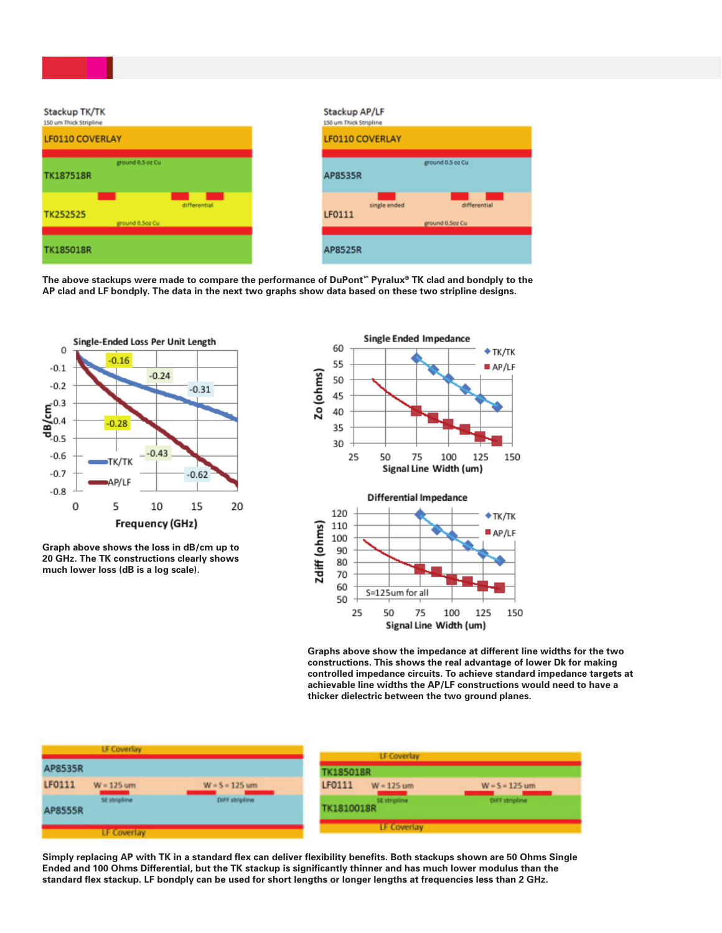Stackup TK/TK





**The above stackups were made to compare the performance of DuPont™ Pyralux® TK clad and bondply to the AP clad and LF bondply. The data in the next two graphs show data based on these two stripline designs.**



**Graph above shows the loss in dB/cm up to 20 GHz. The TK constructions clearly shows much lower loss (dB is a log scale).**



**Graphs above show the impedance at different line widths for the two constructions. This shows the real advantage of lower Dk for making controlled impedance circuits. To achieve standard impedance targets at achievable line widths the AP/LF constructions would need to have a thicker dielectric between the two ground planes.**



**Simply replacing AP with TK in a standard flex can deliver flexibility benefits. Both stackups shown are 50 Ohms Single Ended and 100 Ohms Differential, but the TK stackup is significantly thinner and has much lower modulus than the standard flex stackup. LF bondply can be used for short lengths or longer lengths at frequencies less than 2 GHz.**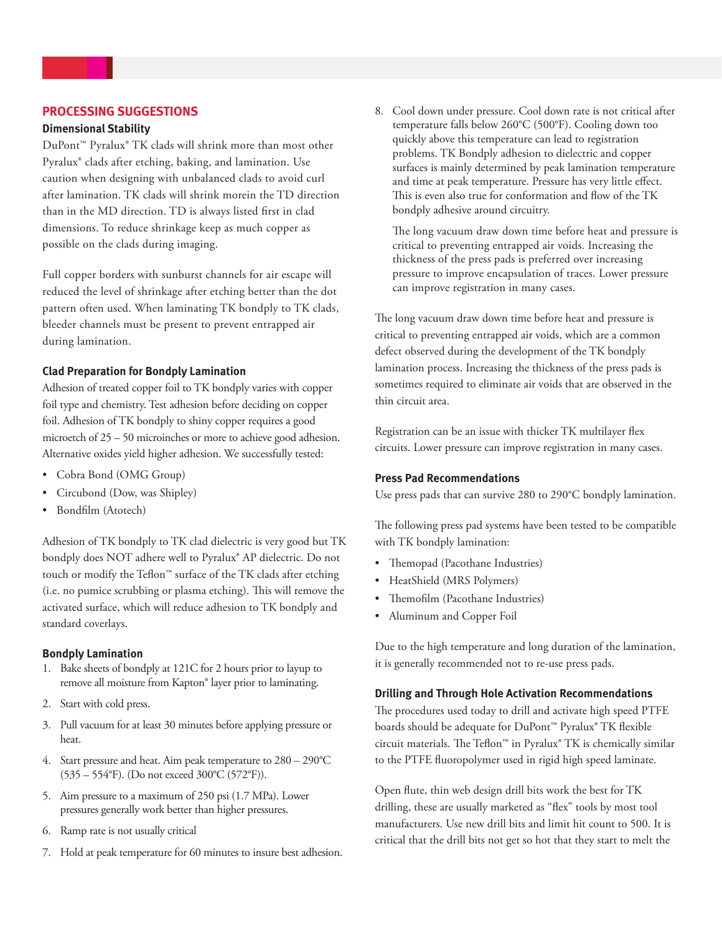#### **PROCESSING SUGGESTIONS**

#### **Dimensional Stability**

DuPont™ Pyralux® TK clads will shrink more than most other Pyralux® clads after etching, baking, and lamination. Use caution when designing with unbalanced clads to avoid curl after lamination. TK clads will shrink morein the TD direction than in the MD direction. TD is always listed first in clad dimensions. To reduce shrinkage keep as much copper as possible on the clads during imaging.

Full copper borders with sunburst channels for air escape will reduced the level of shrinkage after etching better than the dot pattern often used. When laminating TK bondply to TK clads, bleeder channels must be present to prevent entrapped air during lamination.

#### **Clad Preparation for Bondply Lamination**

Adhesion of treated copper foil to TK bondply varies with copper foil type and chemistry. Test adhesion before deciding on copper foil. Adhesion of TK bondply to shiny copper requires a good microetch of 25 – 50 microinches or more to achieve good adhesion. Alternative oxides yield higher adhesion. We successfully tested:

- Cobra Bond (OMG Group)
- Circubond (Dow, was Shipley)
- Bondfilm (Atotech)

Adhesion of TK bondply to TK clad dielectric is very good but TK bondply does NOT adhere well to Pyralux® AP dielectric. Do not touch or modify the Teflon™ surface of the TK clads after etching (i.e. no pumice scrubbing or plasma etching). This will remove the activated surface, which will reduce adhesion to TK bondply and standard coverlays.

#### **Bondply Lamination**

- 1. Bake sheets of bondply at 121C for 2 hours prior to layup to remove all moisture from Kapton® layer prior to laminating.
- 2. Start with cold press.
- 3. Pull vacuum for at least 30 minutes before applying pressure or heat.
- 4. Start pressure and heat. Aim peak temperature to 280 290°C (535 – 554°F). (Do not exceed 300°C (572°F)).
- 5. Aim pressure to a maximum of 250 psi (1.7 MPa). Lower pressures generally work better than higher pressures.
- 6. Ramp rate is not usually critical
- 7. Hold at peak temperature for 60 minutes to insure best adhesion.

8. Cool down under pressure. Cool down rate is not critical after temperature falls below 260°C (500°F). Cooling down too quickly above this temperature can lead to registration problems. TK Bondply adhesion to dielectric and copper surfaces is mainly determined by peak lamination temperature and time at peak temperature. Pressure has very little effect. This is even also true for conformation and flow of the TK bondply adhesive around circuitry.

The long vacuum draw down time before heat and pressure is critical to preventing entrapped air voids. Increasing the thickness of the press pads is preferred over increasing pressure to improve encapsulation of traces. Lower pressure can improve registration in many cases.

The long vacuum draw down time before heat and pressure is critical to preventing entrapped air voids, which are a common defect observed during the development of the TK bondply lamination process. Increasing the thickness of the press pads is sometimes required to eliminate air voids that are observed in the thin circuit area.

Registration can be an issue with thicker TK multilayer flex circuits. Lower pressure can improve registration in many cases.

#### **Press Pad Recommendations**

Use press pads that can survive 280 to 290°C bondply lamination.

The following press pad systems have been tested to be compatible with TK bondply lamination:

- Themopad (Pacothane Industries)
- HeatShield (MRS Polymers)
- Themofilm (Pacothane Industries)
- Aluminum and Copper Foil

Due to the high temperature and long duration of the lamination, it is generally recommended not to re-use press pads.

#### **Drilling and Through Hole Activation Recommendations**

The procedures used today to drill and activate high speed PTFE boards should be adequate for DuPont™ Pyralux® TK flexible circuit materials. The Teflon™ in Pyralux® TK is chemically similar to the PTFE fluoropolymer used in rigid high speed laminate.

Open flute, thin web design drill bits work the best for TK drilling, these are usually marketed as "flex" tools by most tool manufacturers. Use new drill bits and limit hit count to 500. It is critical that the drill bits not get so hot that they start to melt the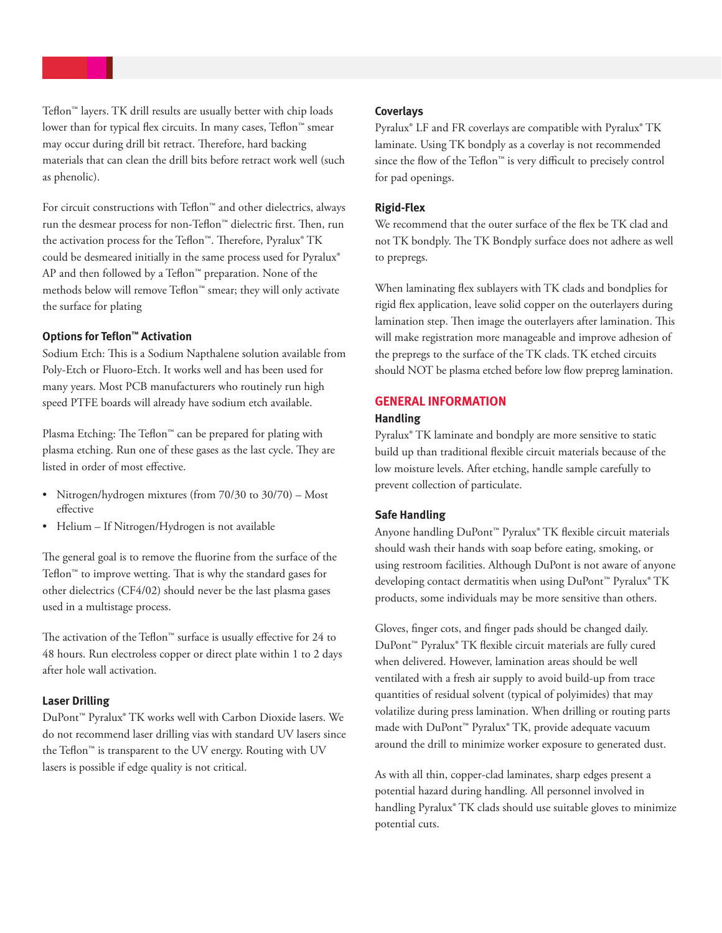Teflon™ layers. TK drill results are usually better with chip loads lower than for typical flex circuits. In many cases, Teflon™ smear may occur during drill bit retract. Therefore, hard backing materials that can clean the drill bits before retract work well (such as phenolic).

For circuit constructions with Teflon™ and other dielectrics, always run the desmear process for non-Teflon™ dielectric first. Then, run the activation process for the Teflon™. Therefore, Pyralux® TK could be desmeared initially in the same process used for Pyralux® AP and then followed by a Teflon™ preparation. None of the methods below will remove Teflon™ smear; they will only activate the surface for plating

#### **Options for Teflon™ Activation**

Sodium Etch: This is a Sodium Napthalene solution available from Poly-Etch or Fluoro-Etch. It works well and has been used for many years. Most PCB manufacturers who routinely run high speed PTFE boards will already have sodium etch available.

Plasma Etching: The Teflon™ can be prepared for plating with plasma etching. Run one of these gases as the last cycle. They are listed in order of most effective.

- Nitrogen/hydrogen mixtures (from 70/30 to 30/70) Most effective
- Helium If Nitrogen/Hydrogen is not available

The general goal is to remove the fluorine from the surface of the Teflon™ to improve wetting. That is why the standard gases for other dielectrics (CF4/02) should never be the last plasma gases used in a multistage process.

The activation of the Teflon™ surface is usually effective for 24 to 48 hours. Run electroless copper or direct plate within 1 to 2 days after hole wall activation.

#### **Laser Drilling**

DuPont™ Pyralux® TK works well with Carbon Dioxide lasers. We do not recommend laser drilling vias with standard UV lasers since the Teflon™ is transparent to the UV energy. Routing with UV lasers is possible if edge quality is not critical.

#### **Coverlays**

Pyralux® LF and FR coverlays are compatible with Pyralux® TK laminate. Using TK bondply as a coverlay is not recommended since the flow of the Teflon™ is very difficult to precisely control for pad openings.

#### **Rigid-Flex**

We recommend that the outer surface of the flex be TK clad and not TK bondply. The TK Bondply surface does not adhere as well to prepregs.

When laminating flex sublayers with TK clads and bondplies for rigid flex application, leave solid copper on the outerlayers during lamination step. Then image the outerlayers after lamination. This will make registration more manageable and improve adhesion of the prepregs to the surface of the TK clads. TK etched circuits should NOT be plasma etched before low flow prepreg lamination.

# **GENERAL INFORMATION**

#### **Handling**

Pyralux® TK laminate and bondply are more sensitive to static build up than traditional flexible circuit materials because of the low moisture levels. After etching, handle sample carefully to prevent collection of particulate.

#### **Safe Handling**

Anyone handling DuPont™ Pyralux® TK flexible circuit materials should wash their hands with soap before eating, smoking, or using restroom facilities. Although DuPont is not aware of anyone developing contact dermatitis when using DuPont™ Pyralux® TK products, some individuals may be more sensitive than others.

Gloves, finger cots, and finger pads should be changed daily. DuPont™ Pyralux® TK flexible circuit materials are fully cured when delivered. However, lamination areas should be well ventilated with a fresh air supply to avoid build-up from trace quantities of residual solvent (typical of polyimides) that may volatilize during press lamination. When drilling or routing parts made with DuPont™ Pyralux® TK, provide adequate vacuum around the drill to minimize worker exposure to generated dust.

As with all thin, copper-clad laminates, sharp edges present a potential hazard during handling. All personnel involved in handling Pyralux® TK clads should use suitable gloves to minimize potential cuts.